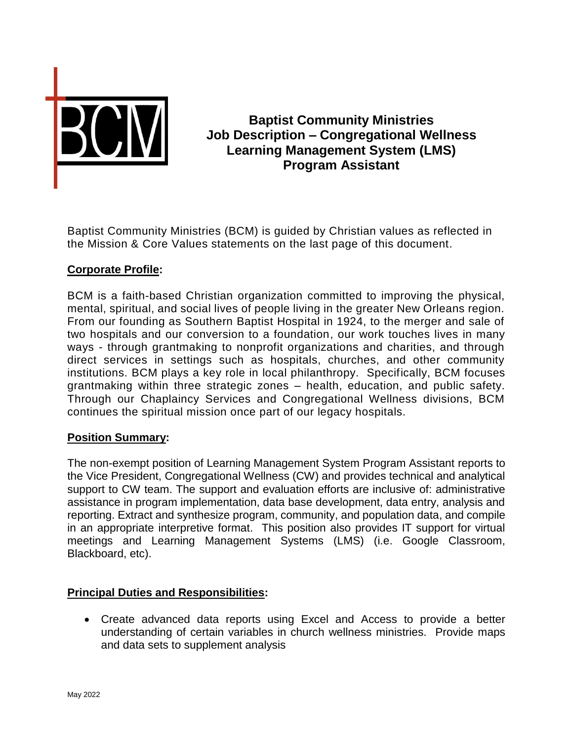

# **Baptist Community Ministries Job Description – Congregational Wellness Learning Management System (LMS) Program Assistant**

Baptist Community Ministries (BCM) is guided by Christian values as reflected in the Mission & Core Values statements on the last page of this document.

## **Corporate Profile:**

BCM is a faith-based Christian organization committed to improving the physical, mental, spiritual, and social lives of people living in the greater New Orleans region. From our founding as Southern Baptist Hospital in 1924, to the merger and sale of two hospitals and our conversion to a foundation, our work touches lives in many ways - through grantmaking to nonprofit organizations and charities, and through direct services in settings such as hospitals, churches, and other community institutions. BCM plays a key role in local philanthropy. Specifically, BCM focuses grantmaking within three strategic zones – health, education, and public safety. Through our Chaplaincy Services and Congregational Wellness divisions, BCM continues the spiritual mission once part of our legacy hospitals.

#### **Position Summary:**

The non-exempt position of Learning Management System Program Assistant reports to the Vice President, Congregational Wellness (CW) and provides technical and analytical support to CW team. The support and evaluation efforts are inclusive of: administrative assistance in program implementation, data base development, data entry, analysis and reporting. Extract and synthesize program, community, and population data, and compile in an appropriate interpretive format. This position also provides IT support for virtual meetings and Learning Management Systems (LMS) (i.e. Google Classroom, Blackboard, etc).

#### **Principal Duties and Responsibilities:**

 Create advanced data reports using Excel and Access to provide a better understanding of certain variables in church wellness ministries. Provide maps and data sets to supplement analysis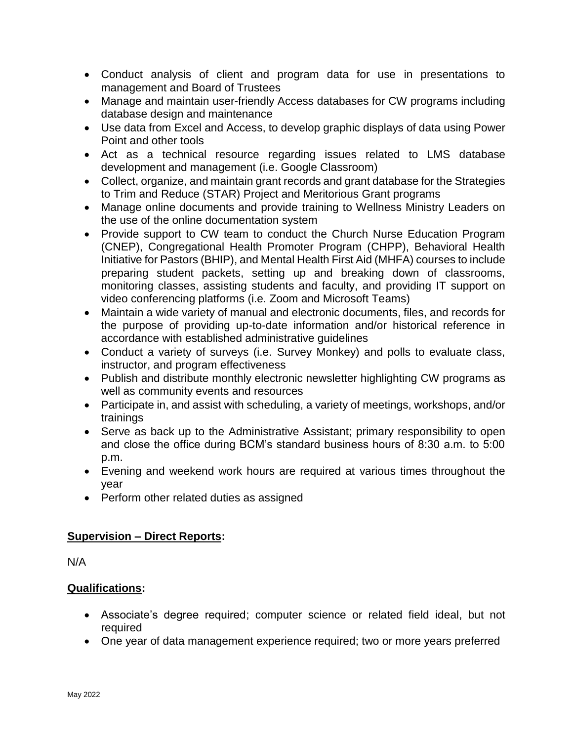- Conduct analysis of client and program data for use in presentations to management and Board of Trustees
- Manage and maintain user-friendly Access databases for CW programs including database design and maintenance
- Use data from Excel and Access, to develop graphic displays of data using Power Point and other tools
- Act as a technical resource regarding issues related to LMS database development and management (i.e. Google Classroom)
- Collect, organize, and maintain grant records and grant database for the Strategies to Trim and Reduce (STAR) Project and Meritorious Grant programs
- Manage online documents and provide training to Wellness Ministry Leaders on the use of the online documentation system
- Provide support to CW team to conduct the Church Nurse Education Program (CNEP), Congregational Health Promoter Program (CHPP), Behavioral Health Initiative for Pastors (BHIP), and Mental Health First Aid (MHFA) courses to include preparing student packets, setting up and breaking down of classrooms, monitoring classes, assisting students and faculty, and providing IT support on video conferencing platforms (i.e. Zoom and Microsoft Teams)
- Maintain a wide variety of manual and electronic documents, files, and records for the purpose of providing up-to-date information and/or historical reference in accordance with established administrative guidelines
- Conduct a variety of surveys (i.e. Survey Monkey) and polls to evaluate class, instructor, and program effectiveness
- Publish and distribute monthly electronic newsletter highlighting CW programs as well as community events and resources
- Participate in, and assist with scheduling, a variety of meetings, workshops, and/or trainings
- Serve as back up to the Administrative Assistant; primary responsibility to open and close the office during BCM's standard business hours of 8:30 a.m. to 5:00 p.m.
- Evening and weekend work hours are required at various times throughout the year
- Perform other related duties as assigned

## **Supervision – Direct Reports:**

N/A

## **Qualifications:**

- Associate's degree required; computer science or related field ideal, but not required
- One year of data management experience required; two or more years preferred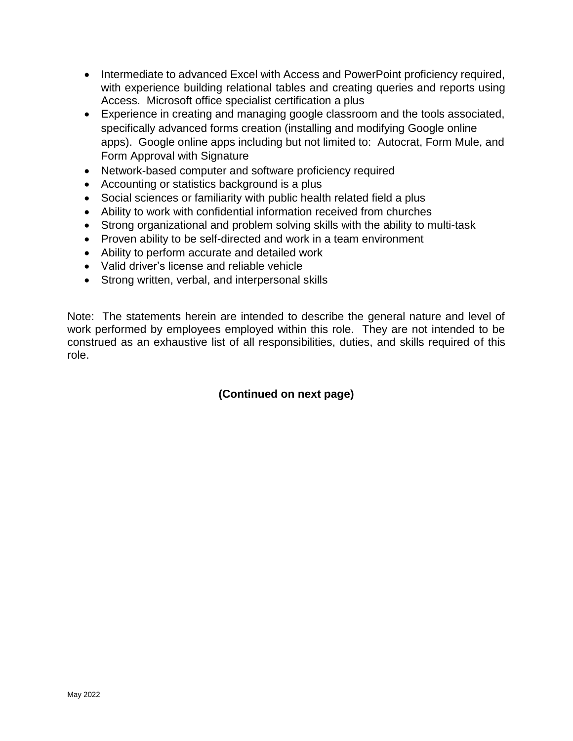- Intermediate to advanced Excel with Access and PowerPoint proficiency required, with experience building relational tables and creating queries and reports using Access. Microsoft office specialist certification a plus
- Experience in creating and managing google classroom and the tools associated, specifically advanced forms creation (installing and modifying Google online apps). Google online apps including but not limited to: Autocrat, Form Mule, and Form Approval with Signature
- Network-based computer and software proficiency required
- Accounting or statistics background is a plus
- Social sciences or familiarity with public health related field a plus
- Ability to work with confidential information received from churches
- Strong organizational and problem solving skills with the ability to multi-task
- Proven ability to be self-directed and work in a team environment
- Ability to perform accurate and detailed work
- Valid driver's license and reliable vehicle
- Strong written, verbal, and interpersonal skills

Note: The statements herein are intended to describe the general nature and level of work performed by employees employed within this role. They are not intended to be construed as an exhaustive list of all responsibilities, duties, and skills required of this role.

## **(Continued on next page)**